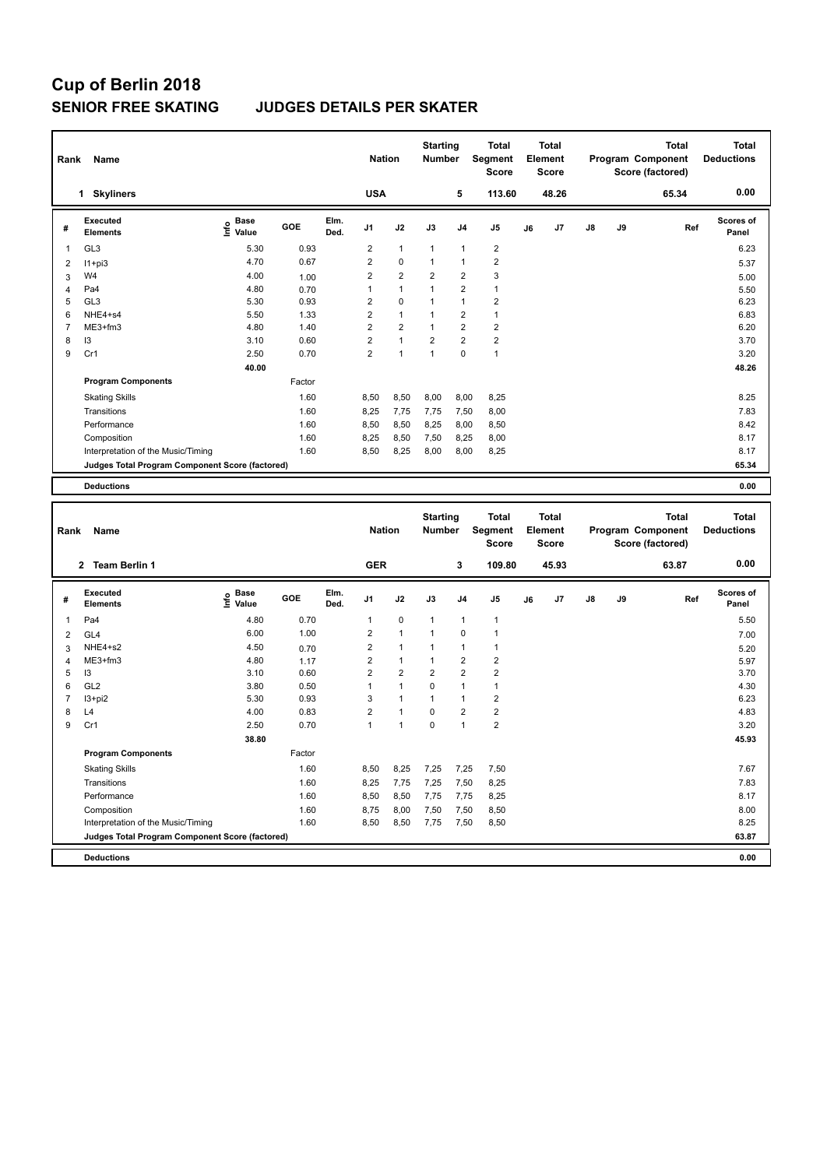# **Cup of Berlin 2018**

### **SENIOR FREE SKATING JUDGES DETAILS PER SKATER**

| Rank<br>Name   |                                                 |                              |        |              | <b>Nation</b>  |                |                | <b>Starting</b><br><b>Number</b> | <b>Total</b><br>Segment<br><b>Score</b> | Total<br>Element<br><b>Score</b> |       |    |    | <b>Total</b><br><b>Program Component</b><br>Score (factored) | <b>Total</b><br><b>Deductions</b> |
|----------------|-------------------------------------------------|------------------------------|--------|--------------|----------------|----------------|----------------|----------------------------------|-----------------------------------------|----------------------------------|-------|----|----|--------------------------------------------------------------|-----------------------------------|
|                | <b>Skyliners</b><br>1                           |                              |        |              | <b>USA</b>     |                |                | 5                                | 113.60                                  |                                  | 48.26 |    |    | 65.34                                                        | 0.00                              |
| #              | Executed<br><b>Elements</b>                     | <b>Base</b><br>١nf٥<br>Value | GOE    | Elm.<br>Ded. | J <sub>1</sub> | J2             | J3             | J <sub>4</sub>                   | J <sub>5</sub>                          | J6                               | J7    | J8 | J9 | Ref                                                          | Scores of<br>Panel                |
| 1              | GL <sub>3</sub>                                 | 5.30                         | 0.93   |              | $\overline{2}$ | $\mathbf{1}$   | $\mathbf{1}$   | $\overline{1}$                   | $\overline{2}$                          |                                  |       |    |    |                                                              | 6.23                              |
| 2              | $11 + pi3$                                      | 4.70                         | 0.67   |              | $\overline{2}$ | 0              | 1              | $\overline{1}$                   | $\overline{2}$                          |                                  |       |    |    |                                                              | 5.37                              |
| 3              | W4                                              | 4.00                         | 1.00   |              | $\overline{2}$ | $\overline{2}$ | $\overline{2}$ | $\overline{2}$                   | 3                                       |                                  |       |    |    |                                                              | 5.00                              |
| $\overline{4}$ | Pa4                                             | 4.80                         | 0.70   |              | 1              | $\mathbf{1}$   | 1              | $\overline{2}$                   | $\mathbf{1}$                            |                                  |       |    |    |                                                              | 5.50                              |
| 5              | GL <sub>3</sub>                                 | 5.30                         | 0.93   |              | 2              | $\mathbf 0$    | 1              | $\overline{1}$                   | $\overline{2}$                          |                                  |       |    |    |                                                              | 6.23                              |
| 6              | NHE4+s4                                         | 5.50                         | 1.33   |              | $\overline{2}$ | $\mathbf{1}$   | $\mathbf{1}$   | $\overline{2}$                   | $\mathbf{1}$                            |                                  |       |    |    |                                                              | 6.83                              |
| 7              | ME3+fm3                                         | 4.80                         | 1.40   |              | $\overline{2}$ | $\overline{2}$ | 1              | $\overline{2}$                   | $\overline{2}$                          |                                  |       |    |    |                                                              | 6.20                              |
| 8              | 13                                              | 3.10                         | 0.60   |              | $\overline{2}$ | $\mathbf{1}$   | $\overline{2}$ | $\overline{2}$                   | $\overline{2}$                          |                                  |       |    |    |                                                              | 3.70                              |
| 9              | Cr1                                             | 2.50                         | 0.70   |              | $\overline{2}$ | 1              | 1              | $\mathbf 0$                      | $\overline{1}$                          |                                  |       |    |    |                                                              | 3.20                              |
|                |                                                 | 40.00                        |        |              |                |                |                |                                  |                                         |                                  |       |    |    |                                                              | 48.26                             |
|                | <b>Program Components</b>                       |                              | Factor |              |                |                |                |                                  |                                         |                                  |       |    |    |                                                              |                                   |
|                | <b>Skating Skills</b>                           |                              | 1.60   |              | 8,50           | 8,50           | 8,00           | 8,00                             | 8,25                                    |                                  |       |    |    |                                                              | 8.25                              |
|                | Transitions                                     |                              | 1.60   |              | 8,25           | 7,75           | 7,75           | 7,50                             | 8,00                                    |                                  |       |    |    |                                                              | 7.83                              |
|                | Performance                                     |                              | 1.60   |              | 8,50           | 8,50           | 8.25           | 8.00                             | 8,50                                    |                                  |       |    |    |                                                              | 8.42                              |
|                | Composition                                     |                              | 1.60   |              | 8,25           | 8,50           | 7,50           | 8,25                             | 8,00                                    |                                  |       |    |    |                                                              | 8.17                              |
|                | Interpretation of the Music/Timing              |                              | 1.60   |              | 8,50           | 8,25           | 8,00           | 8,00                             | 8,25                                    |                                  |       |    |    |                                                              | 8.17                              |
|                | Judges Total Program Component Score (factored) |                              |        |              |                |                |                |                                  |                                         |                                  |       |    |    |                                                              | 65.34                             |
|                | <b>Deductions</b>                               |                              |        |              |                |                |                |                                  |                                         |                                  |       |    |    |                                                              | 0.00                              |
|                |                                                 |                              |        |              |                |                |                |                                  |                                         |                                  |       |    |    |                                                              |                                   |

| Rank           | Name                                            |                                  |        | <b>Nation</b> |                |                | <b>Starting</b><br><b>Number</b> |                | <b>Total</b><br>Segment<br><b>Score</b> | <b>Total</b><br>Element<br><b>Score</b> |       |               |    | <b>Total</b><br>Program Component<br>Score (factored) | <b>Total</b><br><b>Deductions</b> |
|----------------|-------------------------------------------------|----------------------------------|--------|---------------|----------------|----------------|----------------------------------|----------------|-----------------------------------------|-----------------------------------------|-------|---------------|----|-------------------------------------------------------|-----------------------------------|
|                | 2 Team Berlin 1                                 |                                  |        |               | <b>GER</b>     |                |                                  | 3              | 109.80                                  |                                         | 45.93 |               |    | 63.87                                                 | 0.00                              |
| #              | Executed<br><b>Elements</b>                     | <b>Base</b><br>o Base<br>⊆ Value | GOE    | Elm.<br>Ded.  | J <sub>1</sub> | J2             | J3                               | J <sub>4</sub> | J5                                      | J6                                      | J7    | $\mathsf{J}8$ | J9 | Ref                                                   | <b>Scores of</b><br>Panel         |
| $\overline{1}$ | Pa4                                             | 4.80                             | 0.70   |               | $\mathbf{1}$   | $\mathbf 0$    | $\mathbf{1}$                     | $\mathbf{1}$   | $\mathbf{1}$                            |                                         |       |               |    |                                                       | 5.50                              |
| 2              | GL4                                             | 6.00                             | 1.00   |               | 2              | $\overline{1}$ |                                  | 0              | $\mathbf 1$                             |                                         |       |               |    |                                                       | 7.00                              |
| 3              | NHE4+s2                                         | 4.50                             | 0.70   |               | 2              | $\overline{1}$ |                                  | $\overline{1}$ | $\mathbf 1$                             |                                         |       |               |    |                                                       | 5.20                              |
| 4              | $ME3+fm3$                                       | 4.80                             | 1.17   |               | 2              | $\mathbf{1}$   | $\overline{1}$                   | $\overline{2}$ | $\overline{2}$                          |                                         |       |               |    |                                                       | 5.97                              |
| 5              | 13                                              | 3.10                             | 0.60   |               | $\overline{2}$ | $\overline{2}$ | $\overline{2}$                   | $\overline{2}$ | $\overline{2}$                          |                                         |       |               |    |                                                       | 3.70                              |
| 6              | GL <sub>2</sub>                                 | 3.80                             | 0.50   |               | 1              | $\overline{1}$ | 0                                | $\overline{1}$ | $\mathbf{1}$                            |                                         |       |               |    |                                                       | 4.30                              |
| $\overline{7}$ | $13 + pi2$                                      | 5.30                             | 0.93   |               | 3              | $\overline{1}$ | $\overline{1}$                   | $\overline{1}$ | $\overline{2}$                          |                                         |       |               |    |                                                       | 6.23                              |
| 8              | L4                                              | 4.00                             | 0.83   |               | 2              | $\overline{1}$ | $\mathbf 0$                      | $\overline{2}$ | $\sqrt{2}$                              |                                         |       |               |    |                                                       | 4.83                              |
| 9              | Cr1                                             | 2.50                             | 0.70   |               | 1              | $\overline{1}$ | $\Omega$                         | $\overline{1}$ | $\overline{2}$                          |                                         |       |               |    |                                                       | 3.20                              |
|                |                                                 | 38.80                            |        |               |                |                |                                  |                |                                         |                                         |       |               |    |                                                       | 45.93                             |
|                | <b>Program Components</b>                       |                                  | Factor |               |                |                |                                  |                |                                         |                                         |       |               |    |                                                       |                                   |
|                | <b>Skating Skills</b>                           |                                  | 1.60   |               | 8,50           | 8,25           | 7,25                             | 7,25           | 7,50                                    |                                         |       |               |    |                                                       | 7.67                              |
|                | Transitions                                     |                                  | 1.60   |               | 8,25           | 7,75           | 7,25                             | 7,50           | 8,25                                    |                                         |       |               |    |                                                       | 7.83                              |
|                | Performance                                     |                                  | 1.60   |               | 8,50           | 8,50           | 7,75                             | 7,75           | 8,25                                    |                                         |       |               |    |                                                       | 8.17                              |
|                | Composition                                     |                                  | 1.60   |               | 8,75           | 8,00           | 7,50                             | 7,50           | 8,50                                    |                                         |       |               |    |                                                       | 8.00                              |
|                | Interpretation of the Music/Timing              |                                  | 1.60   |               | 8,50           | 8,50           | 7,75                             | 7,50           | 8,50                                    |                                         |       |               |    |                                                       | 8.25                              |
|                | Judges Total Program Component Score (factored) |                                  |        |               |                |                |                                  |                |                                         |                                         |       |               |    |                                                       | 63.87                             |
|                | <b>Deductions</b>                               |                                  |        |               |                |                |                                  |                |                                         |                                         |       |               |    |                                                       | 0.00                              |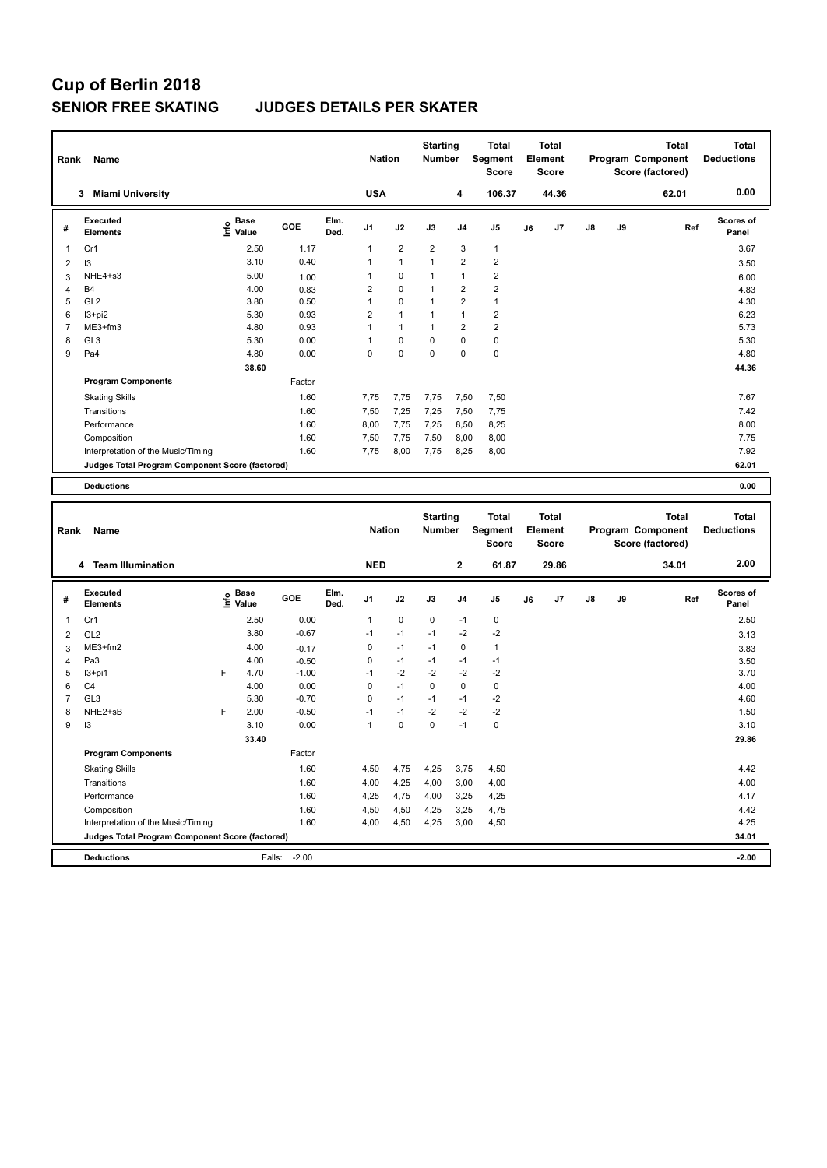# **Cup of Berlin 2018**

### **SENIOR FREE SKATING JUDGES DETAILS PER SKATER**

| <b>USA</b><br>106.37<br>44.36<br><b>Miami University</b><br>4<br>62.01<br>3                                                                                                                                | <b>Total</b><br><b>Deductions</b> |
|------------------------------------------------------------------------------------------------------------------------------------------------------------------------------------------------------------|-----------------------------------|
|                                                                                                                                                                                                            | 0.00                              |
| Elm.<br><b>Executed</b><br><b>Base</b><br>١nf٥<br>GOE<br>J9<br>J <sub>1</sub><br>J2<br>J3<br>J <sub>5</sub><br>J7<br>$\mathsf{J}8$<br>Ref<br>J <sub>4</sub><br>J6<br>#<br>Value<br>Ded.<br><b>Elements</b> | <b>Scores of</b><br>Panel         |
| $\overline{2}$<br>$\overline{2}$<br>2.50<br>1.17<br>3<br>Cr1<br>1<br>1<br>1                                                                                                                                | 3.67                              |
| $\overline{2}$<br>$\overline{2}$<br>3.10<br>0.40<br>$\overline{1}$<br>$\mathbf{1}$<br>1<br>13<br>2                                                                                                         | 3.50                              |
| $\overline{2}$<br>NHE4+s3<br>0<br>$\mathbf{1}$<br>5.00<br>$\mathbf{1}$<br>1.00<br>3                                                                                                                        | 6.00                              |
| $\overline{2}$<br>$\overline{2}$<br><b>B4</b><br>4.00<br>$\overline{2}$<br>0<br>$\mathbf{1}$<br>0.83<br>4                                                                                                  | 4.83                              |
| GL <sub>2</sub><br>0.50<br>0<br>2<br>$\mathbf{1}$<br>3.80<br>5<br>1<br>1                                                                                                                                   | 4.30                              |
| 5.30<br>$\overline{2}$<br>$\overline{2}$<br>$13+pi2$<br>0.93<br>$\mathbf{1}$<br>1<br>6<br>1                                                                                                                | 6.23                              |
| $\overline{2}$<br>$\overline{2}$<br>0.93<br>$\mathbf{1}$<br>ME3+fm3<br>4.80<br>$\mathbf{1}$<br>7<br>1                                                                                                      | 5.73                              |
| 0.00<br>0<br>$\pmb{0}$<br>GL <sub>3</sub><br>5.30<br>$\Omega$<br>$\Omega$<br>8<br>1                                                                                                                        | 5.30                              |
| 0.00<br>0<br>0<br>$\mathbf 0$<br>9<br>Pa4<br>4.80<br>0<br>0                                                                                                                                                | 4.80                              |
| 38.60                                                                                                                                                                                                      | 44.36                             |
| <b>Program Components</b><br>Factor                                                                                                                                                                        |                                   |
| 1.60<br>7,75<br>7,75<br>7,50<br>7,50<br><b>Skating Skills</b><br>7,75                                                                                                                                      | 7.67                              |
| Transitions<br>1.60<br>7,25<br>7,50<br>7,25<br>7,50<br>7,75                                                                                                                                                | 7.42                              |
| 1.60<br>7,75<br>Performance<br>8,00<br>8,25<br>7,25<br>8,50                                                                                                                                                | 8.00                              |
| Composition<br>1.60<br>7,75<br>8,00<br>7,50<br>7,50<br>8,00                                                                                                                                                | 7.75                              |
| 1.60<br>8,00<br>8,00<br>Interpretation of the Music/Timing<br>7.75<br>7,75<br>8,25                                                                                                                         | 7.92                              |
| Judges Total Program Component Score (factored)                                                                                                                                                            | 62.01                             |
| <b>Deductions</b>                                                                                                                                                                                          | 0.00                              |

| Rank           | <b>Name</b>                                     |      |                      |         |              | <b>Nation</b>  |             | <b>Starting</b><br><b>Number</b> |                | <b>Total</b><br>Segment<br><b>Score</b> |    | <b>Total</b><br>Element<br>Score |               |    | <b>Total</b><br>Program Component<br>Score (factored) | <b>Total</b><br><b>Deductions</b> |
|----------------|-------------------------------------------------|------|----------------------|---------|--------------|----------------|-------------|----------------------------------|----------------|-----------------------------------------|----|----------------------------------|---------------|----|-------------------------------------------------------|-----------------------------------|
|                | 4 Team Illumination                             |      |                      |         |              | <b>NED</b>     |             |                                  | $\mathbf{2}$   | 61.87                                   |    | 29.86                            |               |    | 34.01                                                 | 2.00                              |
| #              | Executed<br><b>Elements</b>                     | Info | <b>Base</b><br>Value | GOE     | Elm.<br>Ded. | J <sub>1</sub> | J2          | J3                               | J <sub>4</sub> | J <sub>5</sub>                          | J6 | J <sub>7</sub>                   | $\mathsf{J}8$ | J9 | Ref                                                   | <b>Scores of</b><br>Panel         |
| $\overline{1}$ | Cr1                                             |      | 2.50                 | 0.00    |              | 1              | $\mathbf 0$ | $\Omega$                         | $-1$           | $\pmb{0}$                               |    |                                  |               |    |                                                       | 2.50                              |
| 2              | GL <sub>2</sub>                                 |      | 3.80                 | $-0.67$ |              | $-1$           | $-1$        | $-1$                             | $-2$           | $-2$                                    |    |                                  |               |    |                                                       | 3.13                              |
| 3              | $ME3+fm2$                                       |      | 4.00                 | $-0.17$ |              | $\Omega$       | $-1$        | $-1$                             | $\Omega$       | $\mathbf{1}$                            |    |                                  |               |    |                                                       | 3.83                              |
| $\overline{4}$ | Pa3                                             |      | 4.00                 | $-0.50$ |              | $\mathbf 0$    | $-1$        | $-1$                             | $-1$           | $-1$                                    |    |                                  |               |    |                                                       | 3.50                              |
| 5              | I3+pi1                                          | F    | 4.70                 | $-1.00$ |              | $-1$           | $-2$        | $-2$                             | $-2$           | $-2$                                    |    |                                  |               |    |                                                       | 3.70                              |
| 6              | C <sub>4</sub>                                  |      | 4.00                 | 0.00    |              | 0              | $-1$        | $\Omega$                         | $\mathbf 0$    | 0                                       |    |                                  |               |    |                                                       | 4.00                              |
| 7              | GL <sub>3</sub>                                 |      | 5.30                 | $-0.70$ |              | 0              | $-1$        | $-1$                             | $-1$           | $-2$                                    |    |                                  |               |    |                                                       | 4.60                              |
| 8              | NHE2+sB                                         | F    | 2.00                 | $-0.50$ |              | $-1$           | $-1$        | $-2$                             | $-2$           | $-2$                                    |    |                                  |               |    |                                                       | 1.50                              |
| 9              | 13                                              |      | 3.10                 | 0.00    |              | $\mathbf{1}$   | $\mathbf 0$ | 0                                | $-1$           | $\mathbf 0$                             |    |                                  |               |    |                                                       | 3.10                              |
|                |                                                 |      | 33.40                |         |              |                |             |                                  |                |                                         |    |                                  |               |    |                                                       | 29.86                             |
|                | <b>Program Components</b>                       |      |                      | Factor  |              |                |             |                                  |                |                                         |    |                                  |               |    |                                                       |                                   |
|                | <b>Skating Skills</b>                           |      |                      | 1.60    |              | 4,50           | 4,75        | 4,25                             | 3.75           | 4,50                                    |    |                                  |               |    |                                                       | 4.42                              |
|                | Transitions                                     |      |                      | 1.60    |              | 4,00           | 4,25        | 4,00                             | 3,00           | 4,00                                    |    |                                  |               |    |                                                       | 4.00                              |
|                | Performance                                     |      |                      | 1.60    |              | 4,25           | 4,75        | 4,00                             | 3,25           | 4,25                                    |    |                                  |               |    |                                                       | 4.17                              |
|                | Composition                                     |      |                      | 1.60    |              | 4,50           | 4,50        | 4,25                             | 3,25           | 4,75                                    |    |                                  |               |    |                                                       | 4.42                              |
|                | Interpretation of the Music/Timing              |      |                      | 1.60    |              | 4,00           | 4,50        | 4,25                             | 3,00           | 4,50                                    |    |                                  |               |    |                                                       | 4.25                              |
|                | Judges Total Program Component Score (factored) |      |                      |         |              |                |             |                                  |                |                                         |    |                                  |               |    |                                                       | 34.01                             |
|                | <b>Deductions</b>                               |      | Falls:               | $-2.00$ |              |                |             |                                  |                |                                         |    |                                  |               |    |                                                       | $-2.00$                           |